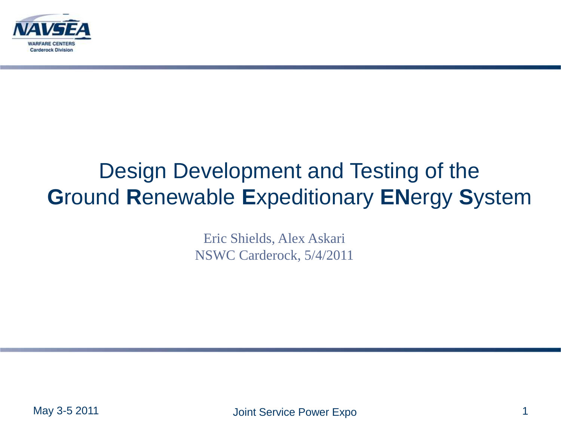

### Design Development and Testing of the **G**round **R**enewable **E**xpeditionary **EN**ergy **S**ystem

Eric Shields, Alex Askari NSWC Carderock, 5/4/2011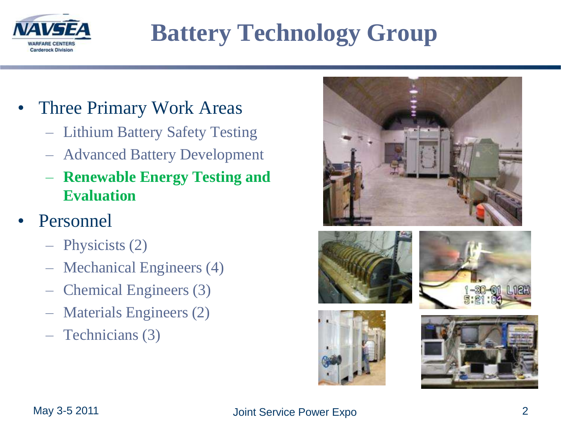

# **Battery Technology Group**

- Three Primary Work Areas
	- Lithium Battery Safety Testing
	- Advanced Battery Development
	- **Renewable Energy Testing and Evaluation**
- **Personnel** 
	- Physicists (2)
	- Mechanical Engineers (4)
	- Chemical Engineers (3)
	- Materials Engineers (2)
	- Technicians (3)









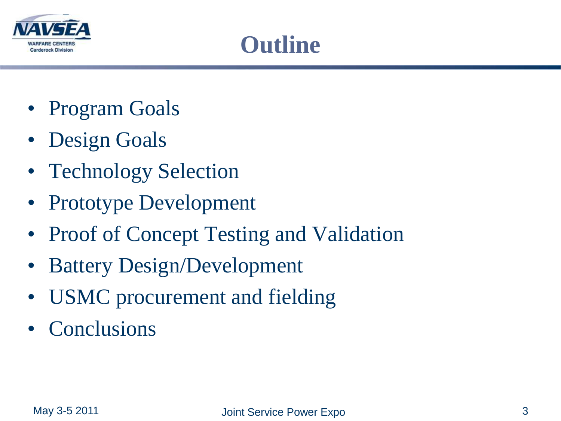

### **Outline**

- Program Goals
- Design Goals
- Technology Selection
- Prototype Development
- Proof of Concept Testing and Validation
- Battery Design/Development
- USMC procurement and fielding
- Conclusions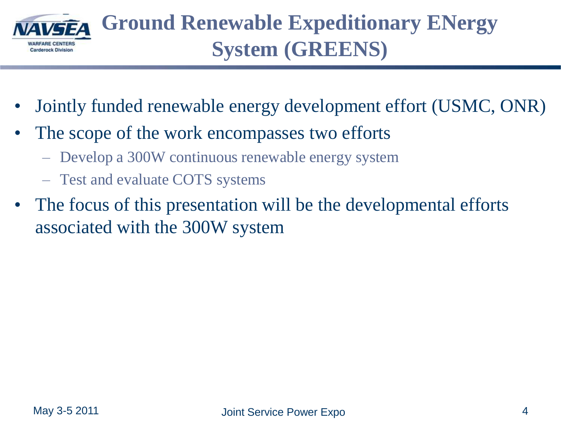

- Jointly funded renewable energy development effort (USMC, ONR)
- The scope of the work encompasses two efforts
	- Develop a 300W continuous renewable energy system
	- Test and evaluate COTS systems
- The focus of this presentation will be the developmental efforts associated with the 300W system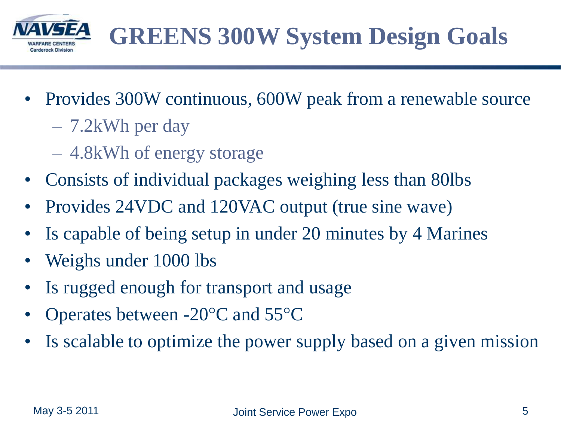

- Provides 300W continuous, 600W peak from a renewable source
	- 7.2kWh per day
	- 4.8kWh of energy storage
- Consists of individual packages weighing less than 80lbs
- Provides 24VDC and 120VAC output (true sine wave)
- Is capable of being setup in under 20 minutes by 4 Marines
- Weighs under 1000 lbs
- Is rugged enough for transport and usage
- Operates between -20°C and 55°C
- Is scalable to optimize the power supply based on a given mission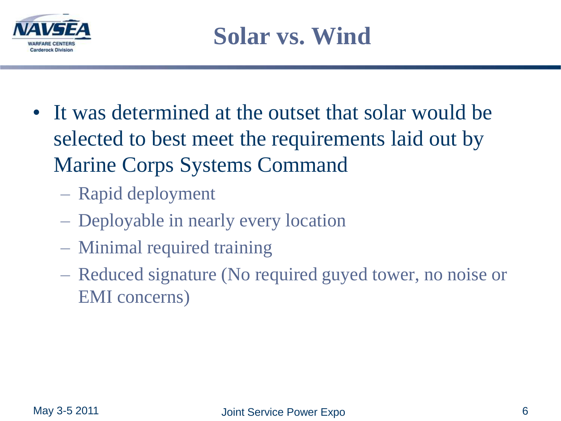

- It was determined at the outset that solar would be selected to best meet the requirements laid out by Marine Corps Systems Command
	- Rapid deployment
	- Deployable in nearly every location
	- Minimal required training
	- Reduced signature (No required guyed tower, no noise or EMI concerns)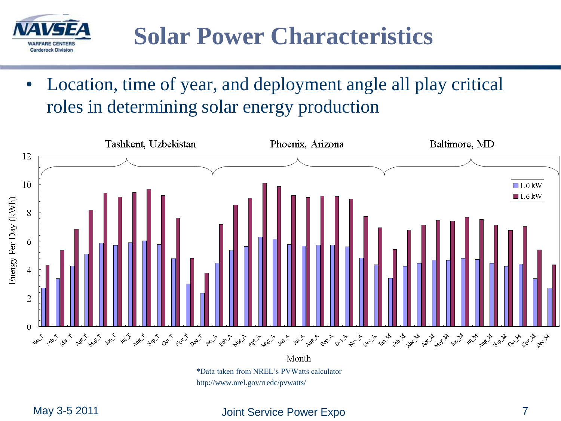

• Location, time of year, and deployment angle all play critical roles in determining solar energy production



http://www.nrel.gov/rredc/pvwatts/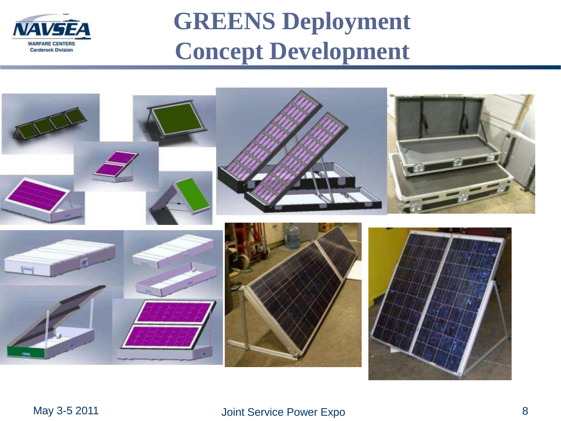

# **GREENS Deployment Concept Development**

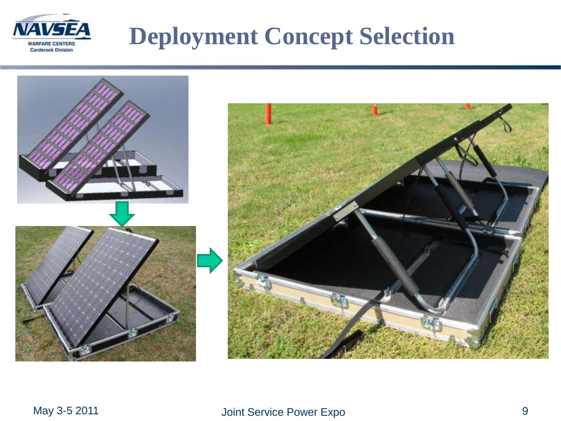

# **Deployment Concept Selection**

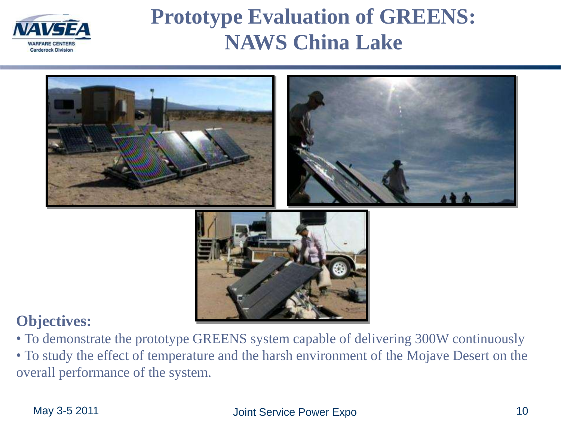

#### **Prototype Evaluation of GREENS: NAWS China Lake**



#### **Objectives:**

• To demonstrate the prototype GREENS system capable of delivering 300W continuously

• To study the effect of temperature and the harsh environment of the Mojave Desert on the overall performance of the system.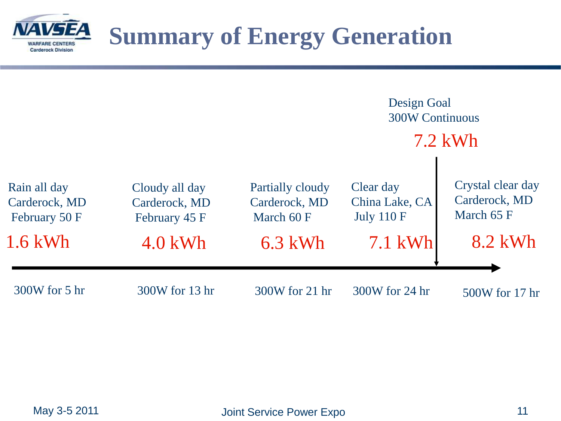

### **Summary of Energy Generation**

|                                                             |                                                               |                                                              | Design Goal<br><b>300W Continuous</b><br>$7.2$ kWh          |                                                             |
|-------------------------------------------------------------|---------------------------------------------------------------|--------------------------------------------------------------|-------------------------------------------------------------|-------------------------------------------------------------|
|                                                             |                                                               |                                                              |                                                             |                                                             |
| Rain all day<br>Carderock, MD<br>February 50 F<br>$1.6$ kWh | Cloudy all day<br>Carderock, MD<br>February 45 F<br>$4.0$ kWh | Partially cloudy<br>Carderock, MD<br>March 60 F<br>$6.3$ kWh | Clear day<br>China Lake, CA<br><b>July 110 F</b><br>7.1 kWh | Crystal clear day<br>Carderock, MD<br>March 65 F<br>8.2 kWh |
|                                                             |                                                               |                                                              |                                                             |                                                             |
| 300W for 5 hr                                               | 300W for 13 hr                                                | 300W for 21 hr                                               | 300W for 24 hr                                              | 500W for 17 hr                                              |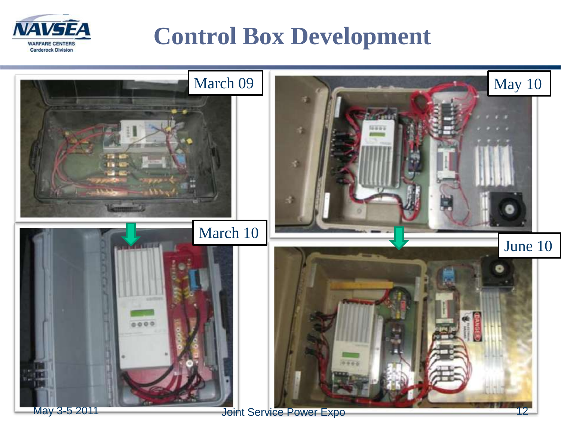

### **Control Box Development**

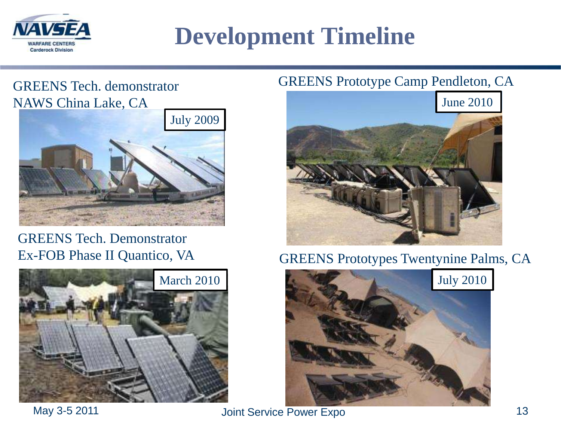

### **Development Timeline**

#### GREENS Tech. demonstrator NAWS China Lake, CA



#### GREENS Tech. Demonstrator Ex-FOB Phase II Quantico, VA



#### GREENS Prototype Camp Pendleton, CA



GREENS Prototypes Twentynine Palms, CA

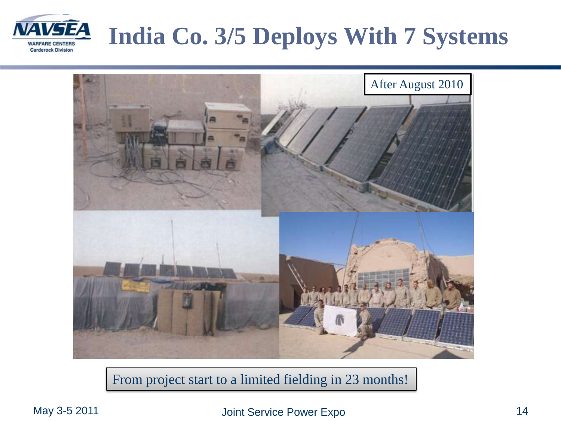# **India Co. 3/5 Deploys With 7 Systems**





From project start to a limited fielding in 23 months!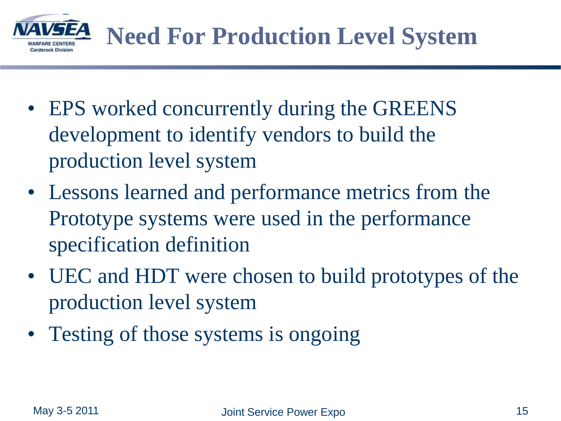

- EPS worked concurrently during the GREENS development to identify vendors to build the production level system
- Lessons learned and performance metrics from the Prototype systems were used in the performance specification definition
- UEC and HDT were chosen to build prototypes of the production level system
- Testing of those systems is ongoing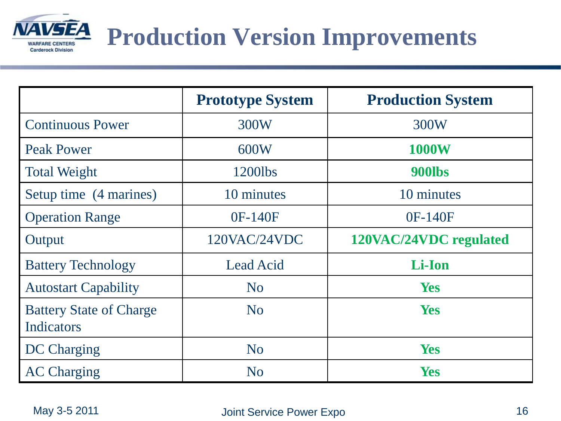

# **Production Version Improvements**

|                                                     | <b>Prototype System</b> | <b>Production System</b> |
|-----------------------------------------------------|-------------------------|--------------------------|
| <b>Continuous Power</b>                             | 300W                    | 300W                     |
| <b>Peak Power</b>                                   | 600W                    | <b>1000W</b>             |
| <b>Total Weight</b>                                 | 1200lbs                 | 900lbs                   |
| Setup time (4 marines)                              | 10 minutes              | 10 minutes               |
| <b>Operation Range</b>                              | 0F-140F                 | 0F-140F                  |
| Output                                              | 120VAC/24VDC            | 120VAC/24VDC regulated   |
| <b>Battery Technology</b>                           | Lead Acid               | Li-Ion                   |
| <b>Autostart Capability</b>                         | N <sub>o</sub>          | <b>Yes</b>               |
| <b>Battery State of Charge</b><br><b>Indicators</b> | N <sub>o</sub>          | <b>Yes</b>               |
| <b>DC</b> Charging                                  | N <sub>o</sub>          | <b>Yes</b>               |
| <b>AC Charging</b>                                  | N <sub>o</sub>          | <b>Yes</b>               |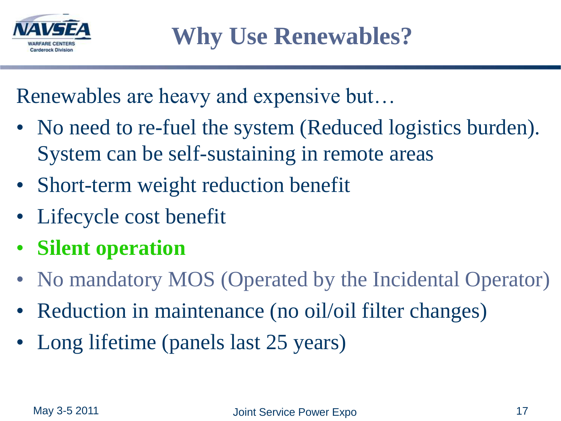

Renewables are heavy and expensive but…

- No need to re-fuel the system (Reduced logistics burden). System can be self-sustaining in remote areas
- Short-term weight reduction benefit
- Lifecycle cost benefit
- **Silent operation**
- No mandatory MOS (Operated by the Incidental Operator)
- Reduction in maintenance (no oil/oil filter changes)
- Long lifetime (panels last 25 years)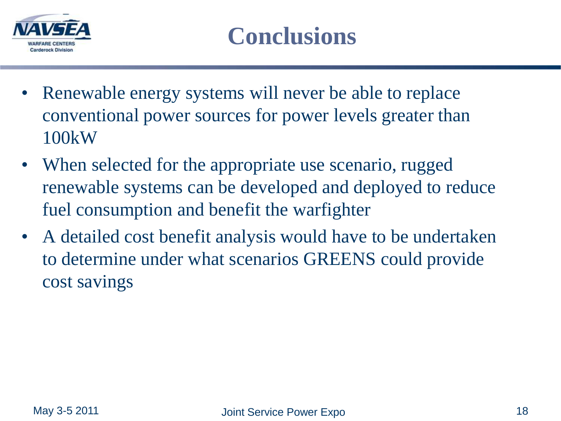

- Renewable energy systems will never be able to replace conventional power sources for power levels greater than 100kW
- When selected for the appropriate use scenario, rugged renewable systems can be developed and deployed to reduce fuel consumption and benefit the warfighter
- A detailed cost benefit analysis would have to be undertaken to determine under what scenarios GREENS could provide cost savings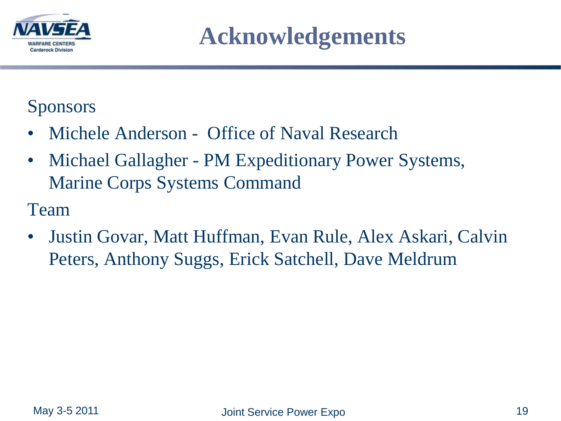

**Acknowledgements**

#### Sponsors

- Michele Anderson Office of Naval Research
- Michael Gallagher PM Expeditionary Power Systems, Marine Corps Systems Command

Team

• Justin Govar, Matt Huffman, Evan Rule, Alex Askari, Calvin Peters, Anthony Suggs, Erick Satchell, Dave Meldrum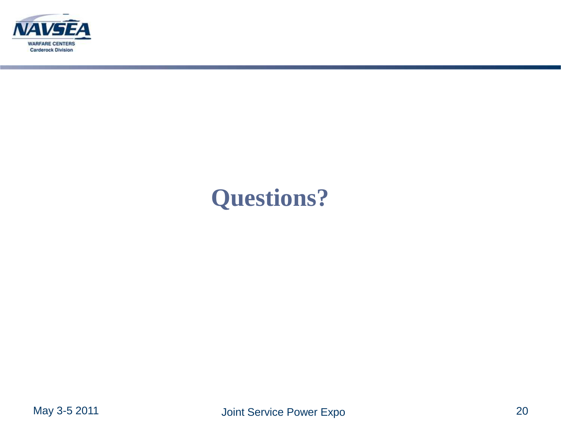

## **Questions?**